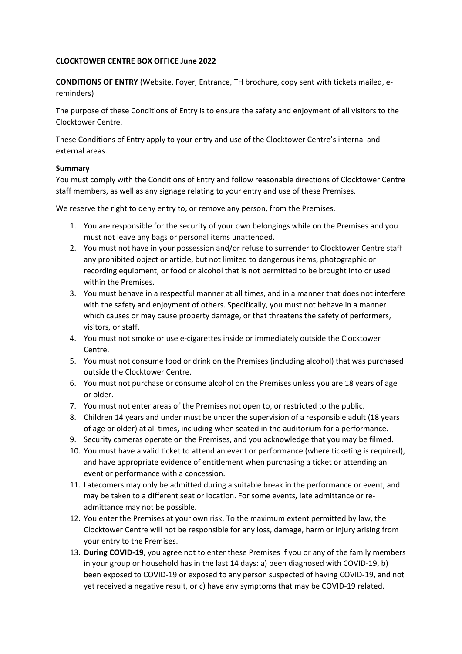## **CLOCKTOWER CENTRE BOX OFFICE June 2022**

**CONDITIONS OF ENTRY** (Website, Foyer, Entrance, TH brochure, copy sent with tickets mailed, ereminders)

The purpose of these Conditions of Entry is to ensure the safety and enjoyment of all visitors to the Clocktower Centre.

These Conditions of Entry apply to your entry and use of the Clocktower Centre's internal and external areas.

## **Summary**

You must comply with the Conditions of Entry and follow reasonable directions of Clocktower Centre staff members, as well as any signage relating to your entry and use of these Premises.

We reserve the right to deny entry to, or remove any person, from the Premises.

- 1. You are responsible for the security of your own belongings while on the Premises and you must not leave any bags or personal items unattended.
- 2. You must not have in your possession and/or refuse to surrender to Clocktower Centre staff any prohibited object or article, but not limited to dangerous items, photographic or recording equipment, or food or alcohol that is not permitted to be brought into or used within the Premises.
- 3. You must behave in a respectful manner at all times, and in a manner that does not interfere with the safety and enjoyment of others. Specifically, you must not behave in a manner which causes or may cause property damage, or that threatens the safety of performers, visitors, or staff.
- 4. You must not smoke or use e-cigarettes inside or immediately outside the Clocktower Centre.
- 5. You must not consume food or drink on the Premises (including alcohol) that was purchased outside the Clocktower Centre.
- 6. You must not purchase or consume alcohol on the Premises unless you are 18 years of age or older.
- 7. You must not enter areas of the Premises not open to, or restricted to the public.
- 8. Children 14 years and under must be under the supervision of a responsible adult (18 years of age or older) at all times, including when seated in the auditorium for a performance.
- 9. Security cameras operate on the Premises, and you acknowledge that you may be filmed.
- 10. You must have a valid ticket to attend an event or performance (where ticketing is required), and have appropriate evidence of entitlement when purchasing a ticket or attending an event or performance with a concession.
- 11. Latecomers may only be admitted during a suitable break in the performance or event, and may be taken to a different seat or location. For some events, late admittance or readmittance may not be possible.
- 12. You enter the Premises at your own risk. To the maximum extent permitted by law, the Clocktower Centre will not be responsible for any loss, damage, harm or injury arising from your entry to the Premises.
- 13. **During COVID-19**, you agree not to enter these Premises if you or any of the family members in your group or household has in the last 14 days: a) been diagnosed with COVID-19, b) been exposed to COVID-19 or exposed to any person suspected of having COVID-19, and not yet received a negative result, or c) have any symptoms that may be COVID-19 related.